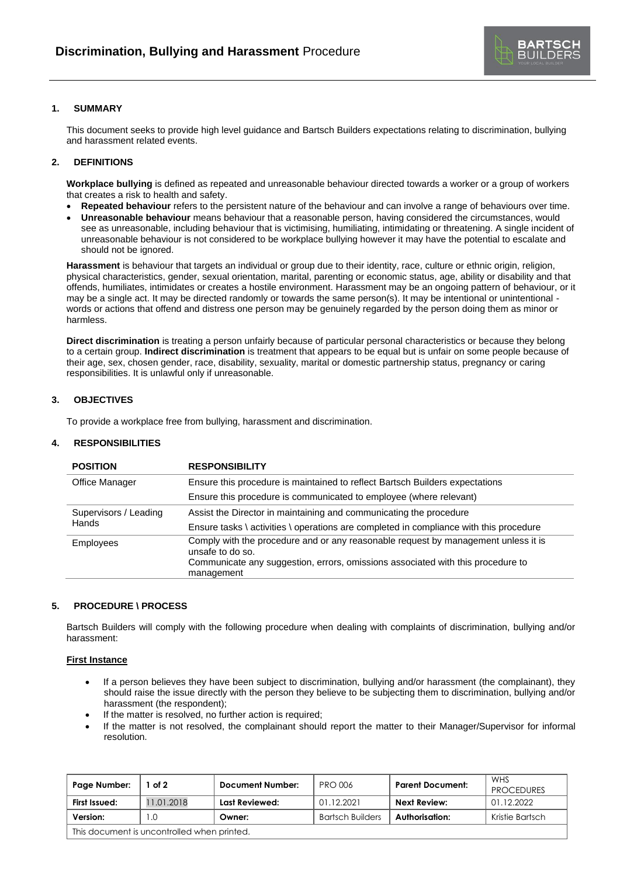

# **1. SUMMARY**

This document seeks to provide high level guidance and Bartsch Builders expectations relating to discrimination, bullying and harassment related events.

### **2. DEFINITIONS**

**Workplace bullying** is defined as repeated and unreasonable behaviour directed towards a worker or a group of workers that creates a risk to health and safety.

- **Repeated behaviour** refers to the persistent nature of the behaviour and can involve a range of behaviours over time.
- **Unreasonable behaviour** means behaviour that a reasonable person, having considered the circumstances, would see as unreasonable, including behaviour that is victimising, humiliating, intimidating or threatening. A single incident of unreasonable behaviour is not considered to be workplace bullying however it may have the potential to escalate and should not be ignored.

**Harassment** is behaviour that targets an individual or group due to their identity, race, culture or ethnic origin, religion, physical characteristics, gender, sexual orientation, marital, parenting or economic status, age, ability or disability and that offends, humiliates, intimidates or creates a hostile environment. Harassment may be an ongoing pattern of behaviour, or it may be a single act. It may be directed randomly or towards the same person(s). It may be intentional or unintentional words or actions that offend and distress one person may be genuinely regarded by the person doing them as minor or harmless.

**Direct discrimination** is treating a person unfairly because of particular personal characteristics or because they belong to a certain group. **Indirect discrimination** is treatment that appears to be equal but is unfair on some people because of their age, sex, chosen gender, race, disability, sexuality, marital or domestic partnership status, pregnancy or caring responsibilities. It is unlawful only if unreasonable.

#### **3. OBJECTIVES**

To provide a workplace free from bullying, harassment and discrimination.

### **4. RESPONSIBILITIES**

| <b>POSITION</b>                       | <b>RESPONSIBILITY</b>                                                                                                                                                                     |  |
|---------------------------------------|-------------------------------------------------------------------------------------------------------------------------------------------------------------------------------------------|--|
| Office Manager                        | Ensure this procedure is maintained to reflect Bartsch Builders expectations                                                                                                              |  |
|                                       | Ensure this procedure is communicated to employee (where relevant)                                                                                                                        |  |
| Supervisors / Leading<br><b>Hands</b> | Assist the Director in maintaining and communicating the procedure                                                                                                                        |  |
|                                       | Ensure tasks \ activities \ operations are completed in compliance with this procedure                                                                                                    |  |
| <b>Employees</b>                      | Comply with the procedure and or any reasonable request by management unless it is<br>unsafe to do so.<br>Communicate any suggestion, errors, omissions associated with this procedure to |  |
|                                       | management                                                                                                                                                                                |  |

### **5. PROCEDURE \ PROCESS**

Bartsch Builders will comply with the following procedure when dealing with complaints of discrimination, bullying and/or harassment:

### **First Instance**

- If a person believes they have been subject to discrimination, bullying and/or harassment (the complainant), they should raise the issue directly with the person they believe to be subjecting them to discrimination, bullying and/or harassment (the respondent);
- If the matter is resolved, no further action is required;
- If the matter is not resolved, the complainant should report the matter to their Manager/Supervisor for informal resolution.

| Page Number:                                | of 2       | <b>Document Number:</b> | <b>PRO 006</b>          | <b>Parent Document:</b> | <b>WHS</b><br><b>PROCEDURES</b> |  |  |  |
|---------------------------------------------|------------|-------------------------|-------------------------|-------------------------|---------------------------------|--|--|--|
| First Issued:                               | 11.01.2018 | Last Reviewed:          | 01.12.2021              | Next Review:            | 01.12.2022                      |  |  |  |
| Version:                                    | .0         | Owner:                  | <b>Bartsch Builders</b> | Authorisation:          | Kristie Bartsch                 |  |  |  |
| This document is uncontrolled when printed. |            |                         |                         |                         |                                 |  |  |  |